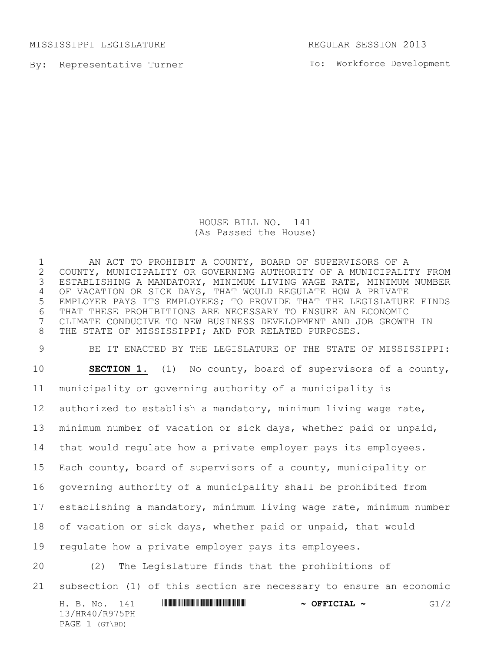MISSISSIPPI LEGISLATURE REGULAR SESSION 2013

By: Representative Turner

To: Workforce Development

HOUSE BILL NO. 141 (As Passed the House)

1 AN ACT TO PROHIBIT A COUNTY, BOARD OF SUPERVISORS OF A<br>2 COUNTY, MUNICIPALITY OR GOVERNING AUTHORITY OF A MUNICIPALI 2 COUNTY, MUNICIPALITY OR GOVERNING AUTHORITY OF A MUNICIPALITY FROM<br>3 ESTABLISHING A MANDATORY, MINIMUM LIVING WAGE RATE, MINIMUM NUMBER ESTABLISHING A MANDATORY, MINIMUM LIVING WAGE RATE, MINIMUM NUMBER OF VACATION OR SICK DAYS, THAT WOULD REGULATE HOW A PRIVATE EMPLOYER PAYS ITS EMPLOYEES; TO PROVIDE THAT THE LEGISLATURE FINDS THAT THESE PROHIBITIONS ARE NECESSARY TO ENSURE AN ECONOMIC CLIMATE CONDUCIVE TO NEW BUSINESS DEVELOPMENT AND JOB GROWTH IN THE STATE OF MISSISSIPPI; AND FOR RELATED PURPOSES.

 BE IT ENACTED BY THE LEGISLATURE OF THE STATE OF MISSISSIPPI: **SECTION 1.** (1) No county, board of supervisors of a county, municipality or governing authority of a municipality is authorized to establish a mandatory, minimum living wage rate, minimum number of vacation or sick days, whether paid or unpaid, that would regulate how a private employer pays its employees. Each county, board of supervisors of a county, municipality or governing authority of a municipality shall be prohibited from establishing a mandatory, minimum living wage rate, minimum number of vacation or sick days, whether paid or unpaid, that would regulate how a private employer pays its employees. (2) The Legislature finds that the prohibitions of subsection (1) of this section are necessary to ensure an economic

H. B. No. 141 **HR40 R975PH 2008 PHT 2008 PHT 2008 PHT 2008 PHT 2008 PHT 2008 PHT 2008 PHT 2008 PHT 2008 PHT 2008 PHT 2008 PHT 2008 PHT 2008 PHT 2008 PHT 2008 PHT 2008 PHT 2008 PHT 2008 PHT 2008 PHT 2008 PHT 2008 PHT 2008 P** 13/HR40/R975PH PAGE 1 (GT\BD)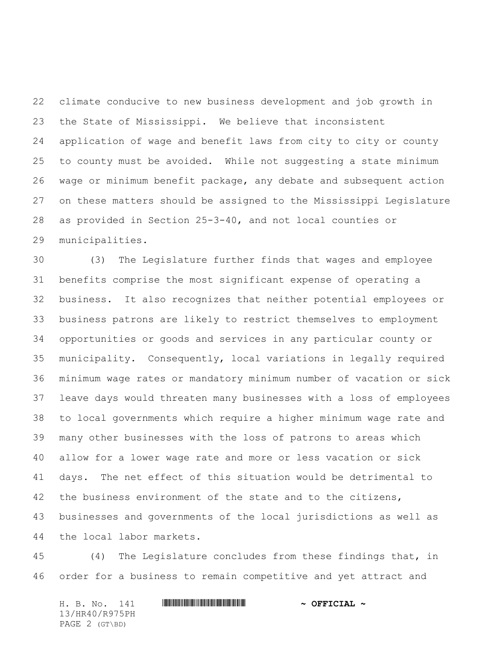climate conducive to new business development and job growth in the State of Mississippi. We believe that inconsistent application of wage and benefit laws from city to city or county to county must be avoided. While not suggesting a state minimum wage or minimum benefit package, any debate and subsequent action on these matters should be assigned to the Mississippi Legislature as provided in Section 25-3-40, and not local counties or municipalities.

 (3) The Legislature further finds that wages and employee benefits comprise the most significant expense of operating a business. It also recognizes that neither potential employees or business patrons are likely to restrict themselves to employment opportunities or goods and services in any particular county or municipality. Consequently, local variations in legally required minimum wage rates or mandatory minimum number of vacation or sick leave days would threaten many businesses with a loss of employees to local governments which require a higher minimum wage rate and many other businesses with the loss of patrons to areas which allow for a lower wage rate and more or less vacation or sick days. The net effect of this situation would be detrimental to 42 the business environment of the state and to the citizens, businesses and governments of the local jurisdictions as well as the local labor markets.

 (4) The Legislature concludes from these findings that, in order for a business to remain competitive and yet attract and

H. B. No. 141 \*HR40/R975PH\* **~ OFFICIAL ~** 13/HR40/R975PH PAGE 2 (GT\BD)